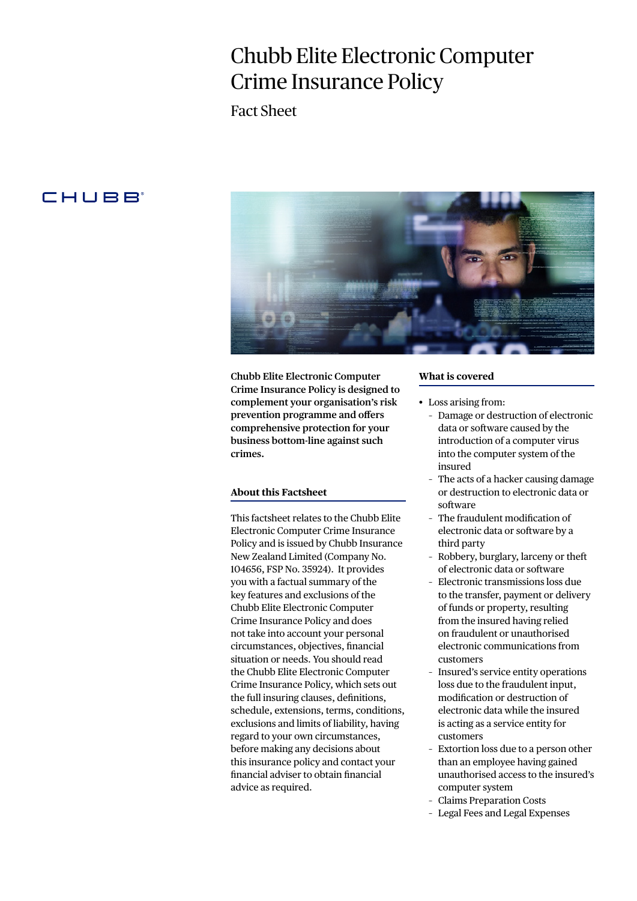# Chubb Elite Electronic Computer Crime Insurance Policy

Fact Sheet

# **CHUBB**



**Chubb Elite Electronic Computer Crime Insurance Policy is designed to complement your organisation's risk prevention programme and offers comprehensive protection for your business bottom-line against such crimes.** 

## **About this Factsheet**

This factsheet relates to the Chubb Elite Electronic Computer Crime Insurance Policy and is issued by Chubb Insurance New Zealand Limited (Company No. 104656, FSP No. 35924). It provides you with a factual summary of the key features and exclusions of the Chubb Elite Electronic Computer Crime Insurance Policy and does not take into account your personal circumstances, objectives, financial situation or needs. You should read the Chubb Elite Electronic Computer Crime Insurance Policy, which sets out the full insuring clauses, definitions, schedule, extensions, terms, conditions, exclusions and limits of liability, having regard to your own circumstances, before making any decisions about this insurance policy and contact your financial adviser to obtain financial advice as required.

#### **What is covered**

- Loss arising from:
	- Damage or destruction of electronic data or software caused by the introduction of a computer virus into the computer system of the insured
	- The acts of a hacker causing damage or destruction to electronic data or software
	- The fraudulent modification of electronic data or software by a third party
	- Robbery, burglary, larceny or theft of electronic data or software
	- Electronic transmissions loss due to the transfer, payment or delivery of funds or property, resulting from the insured having relied on fraudulent or unauthorised electronic communications from customers
	- Insured's service entity operations loss due to the fraudulent input, modification or destruction of electronic data while the insured is acting as a service entity for customers
	- Extortion loss due to a person other than an employee having gained unauthorised access to the insured's computer system
	- Claims Preparation Costs
	- Legal Fees and Legal Expenses